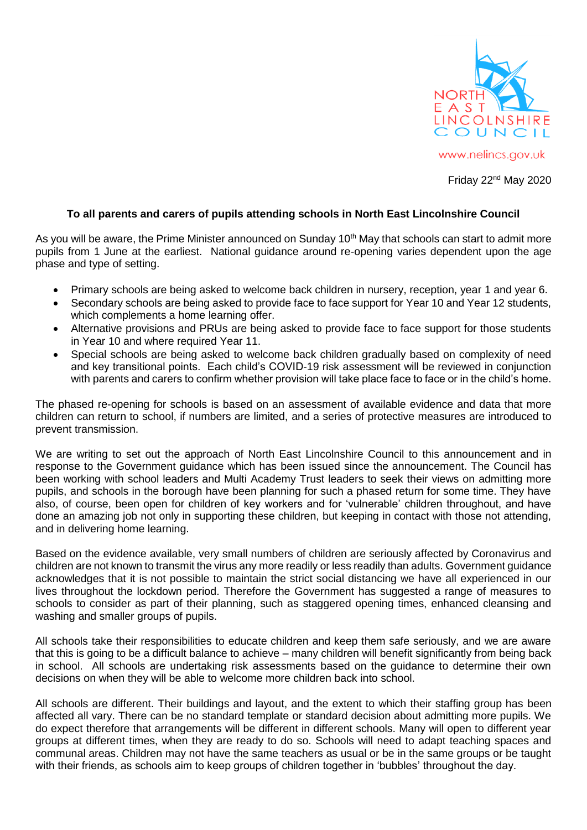

Friday 22nd May 2020

## **To all parents and carers of pupils attending schools in North East Lincolnshire Council**

As you will be aware, the Prime Minister announced on Sunday 10<sup>th</sup> May that schools can start to admit more pupils from 1 June at the earliest. National guidance around re-opening varies dependent upon the age phase and type of setting.

- Primary schools are being asked to welcome back children in nursery, reception, year 1 and year 6.
- Secondary schools are being asked to provide face to face support for Year 10 and Year 12 students, which complements a home learning offer.
- Alternative provisions and PRUs are being asked to provide face to face support for those students in Year 10 and where required Year 11.
- Special schools are being asked to welcome back children gradually based on complexity of need and key transitional points. Each child's COVID-19 risk assessment will be reviewed in conjunction with parents and carers to confirm whether provision will take place face to face or in the child's home.

The phased re-opening for schools is based on an assessment of available evidence and data that more children can return to school, if numbers are limited, and a series of protective measures are introduced to prevent transmission.

We are writing to set out the approach of North East Lincolnshire Council to this announcement and in response to the Government guidance which has been issued since the announcement. The Council has been working with school leaders and Multi Academy Trust leaders to seek their views on admitting more pupils, and schools in the borough have been planning for such a phased return for some time. They have also, of course, been open for children of key workers and for 'vulnerable' children throughout, and have done an amazing job not only in supporting these children, but keeping in contact with those not attending, and in delivering home learning.

Based on the evidence available, very small numbers of children are seriously affected by Coronavirus and children are not known to transmit the virus any more readily or less readily than adults. Government guidance acknowledges that it is not possible to maintain the strict social distancing we have all experienced in our lives throughout the lockdown period. Therefore the Government has suggested a range of measures to schools to consider as part of their planning, such as staggered opening times, enhanced cleansing and washing and smaller groups of pupils.

All schools take their responsibilities to educate children and keep them safe seriously, and we are aware that this is going to be a difficult balance to achieve – many children will benefit significantly from being back in school. All schools are undertaking risk assessments based on the guidance to determine their own decisions on when they will be able to welcome more children back into school.

All schools are different. Their buildings and layout, and the extent to which their staffing group has been affected all vary. There can be no standard template or standard decision about admitting more pupils. We do expect therefore that arrangements will be different in different schools. Many will open to different year groups at different times, when they are ready to do so. Schools will need to adapt teaching spaces and communal areas. Children may not have the same teachers as usual or be in the same groups or be taught with their friends, as schools aim to keep groups of children together in 'bubbles' throughout the day.